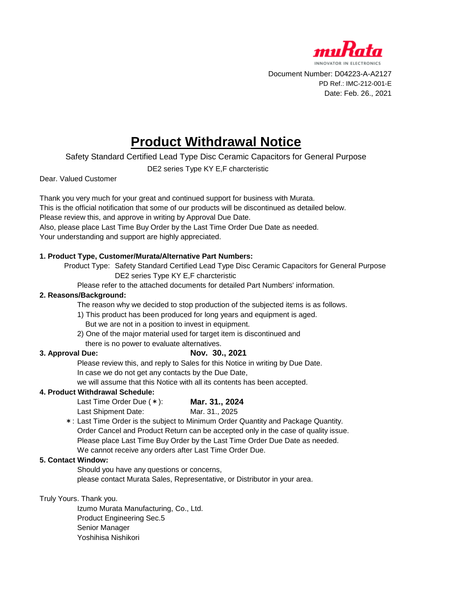

Document Number: D04223-A-A2127 PD Ref.: IMC-212-001-E Date: Feb. 26., 2021

# **Product Withdrawal Notice**

Safety Standard Certified Lead Type Disc Ceramic Capacitors for General Purpose

DE2 series Type KY E,F charcteristic

Dear. Valued Customer

Thank you very much for your great and continued support for business with Murata. This is the official notification that some of our products will be discontinued as detailed below. Please review this, and approve in writing by Approval Due Date. Also, please place Last Time Buy Order by the Last Time Order Due Date as needed. Your understanding and support are highly appreciated.

# **1. Product Type, Customer/Murata/Alternative Part Numbers:**

Product Type: Safety Standard Certified Lead Type Disc Ceramic Capacitors for General Purpose DE2 series Type KY E,F charcteristic

Please refer to the attached documents for detailed Part Numbers' information.

### **2. Reasons/Background:**

The reason why we decided to stop production of the subjected items is as follows.

- 1) This product has been produced for long years and equipment is aged. But we are not in a position to invest in equipment.
- 2) One of the major material used for target item is discontinued and

there is no power to evaluate alternatives.

# **3. Approval Due:**

# **Nov. 30., 2021**

Please review this, and reply to Sales for this Notice in writing by Due Date. In case we do not get any contacts by the Due Date,

we will assume that this Notice with all its contents has been accepted.

### **4. Product Withdrawal Schedule:**

Last Time Order Due (\*): **Mar. 31., 2024** Last Shipment Date: Mar. 31, 2025

\*: Last Time Order is the subject to Minimum Order Quantity and Package Quantity. Order Cancel and Product Return can be accepted only in the case of quality issue. Please place Last Time Buy Order by the Last Time Order Due Date as needed. We cannot receive any orders after Last Time Order Due.

### **5. Contact Window:**

Should you have any questions or concerns,

please contact Murata Sales, Representative, or Distributor in your area.

Truly Yours. Thank you.

Izumo Murata Manufacturing, Co., Ltd. Product Engineering Sec.5 Senior Manager Yoshihisa Nishikori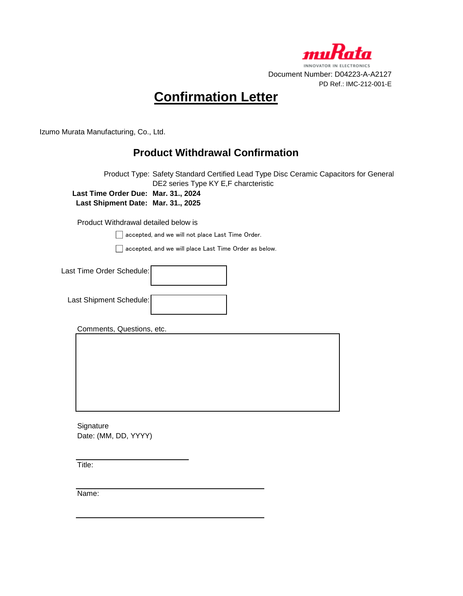

# **Confirmation Letter**

Izumo Murata Manufacturing, Co., Ltd.

# **Product Withdrawal Confirmation**

Product Type: Safety Standard Certified Lead Type Disc Ceramic Capacitors for General DE2 series Type KY E,F charcteristic **Last Time Order Due: Mar. 31., 2024 Last Shipment Date: Mar. 31., 2025**

Product Withdrawal detailed below is

accepted, and we will not place Last Time Order.

accepted, and we will place Last Time Order as below.

| Last Time Order Schedule: |  |
|---------------------------|--|
| Last Shipment Schedule:   |  |

Comments, Questions, etc.

**Signature** Date: (MM, DD, YYYY)

Title:

Name: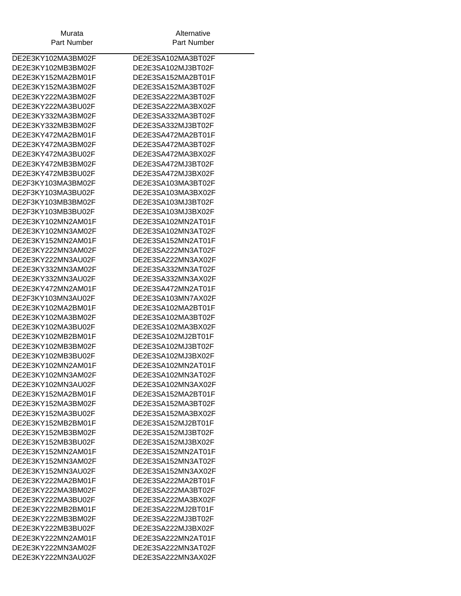| Murata             | Alternative        |
|--------------------|--------------------|
| Part Number        | Part Number        |
|                    |                    |
| DE2E3KY102MA3BM02F | DE2E3SA102MA3BT02F |
| DE2E3KY102MB3BM02F | DE2E3SA102MJ3BT02F |
| DE2E3KY152MA2BM01F | DE2E3SA152MA2BT01F |
| DE2E3KY152MA3BM02F | DE2E3SA152MA3BT02F |
| DE2E3KY222MA3BM02F | DE2E3SA222MA3BT02F |
| DE2E3KY222MA3BU02F | DE2E3SA222MA3BX02F |
| DE2E3KY332MA3BM02F | DE2E3SA332MA3BT02F |
| DE2E3KY332MB3BM02F | DE2E3SA332MJ3BT02F |
| DE2E3KY472MA2BM01F | DE2E3SA472MA2BT01F |
| DE2E3KY472MA3BM02F | DE2E3SA472MA3BT02F |
| DE2E3KY472MA3BU02F | DE2E3SA472MA3BX02F |
| DE2E3KY472MB3BM02F | DE2E3SA472MJ3BT02F |
| DE2E3KY472MB3BU02F | DE2E3SA472MJ3BX02F |
| DE2F3KY103MA3BM02F | DE2E3SA103MA3BT02F |
| DE2F3KY103MA3BU02F | DE2E3SA103MA3BX02F |
| DE2F3KY103MB3BM02F | DE2E3SA103MJ3BT02F |
| DE2F3KY103MB3BU02F | DE2E3SA103MJ3BX02F |
| DE2E3KY102MN2AM01F | DE2E3SA102MN2AT01F |
| DE2E3KY102MN3AM02F | DE2E3SA102MN3AT02F |
| DE2E3KY152MN2AM01F | DE2E3SA152MN2AT01F |
| DE2E3KY222MN3AM02F | DE2E3SA222MN3AT02F |
| DE2E3KY222MN3AU02F | DE2E3SA222MN3AX02F |
| DE2E3KY332MN3AM02F | DE2E3SA332MN3AT02F |
| DE2E3KY332MN3AU02F | DE2E3SA332MN3AX02F |
| DE2E3KY472MN2AM01F | DE2E3SA472MN2AT01F |
| DE2F3KY103MN3AU02F | DE2E3SA103MN7AX02F |
| DE2E3KY102MA2BM01F | DE2E3SA102MA2BT01F |
| DE2E3KY102MA3BM02F | DE2E3SA102MA3BT02F |
| DE2E3KY102MA3BU02F | DE2E3SA102MA3BX02F |
| DE2E3KY102MB2BM01F | DE2E3SA102MJ2BT01F |
| DE2E3KY102MB3BM02F | DE2E3SA102MJ3BT02F |
| DE2E3KY102MB3BU02F | DE2E3SA102MJ3BX02F |
| DE2E3KY102MN2AM01F | DE2E3SA102MN2AT01F |
| DE2E3KY102MN3AM02F | DE2E3SA102MN3AT02F |
| DE2E3KY102MN3AU02F | DE2E3SA102MN3AX02F |
| DE2E3KY152MA2BM01F | DE2E3SA152MA2BT01F |
| DE2E3KY152MA3BM02F | DE2E3SA152MA3BT02F |
| DE2E3KY152MA3BU02F | DE2E3SA152MA3BX02F |
| DE2E3KY152MB2BM01F | DE2E3SA152MJ2BT01F |
| DE2E3KY152MB3BM02F | DE2E3SA152MJ3BT02F |
| DE2E3KY152MB3BU02F | DE2E3SA152MJ3BX02F |
| DE2E3KY152MN2AM01F | DE2E3SA152MN2AT01F |
| DE2E3KY152MN3AM02F | DE2E3SA152MN3AT02F |
| DE2E3KY152MN3AU02F | DE2E3SA152MN3AX02F |
| DE2E3KY222MA2BM01F | DE2E3SA222MA2BT01F |
| DE2E3KY222MA3BM02F | DE2E3SA222MA3BT02F |
| DE2E3KY222MA3BU02F | DE2E3SA222MA3BX02F |
| DE2E3KY222MB2BM01F | DE2E3SA222MJ2BT01F |
| DE2E3KY222MB3BM02F | DE2E3SA222MJ3BT02F |
| DE2E3KY222MB3BU02F | DE2E3SA222MJ3BX02F |
| DE2E3KY222MN2AM01F | DE2E3SA222MN2AT01F |
| DE2E3KY222MN3AM02F | DE2E3SA222MN3AT02F |
| DE2E3KY222MN3AU02F | DE2E3SA222MN3AX02F |